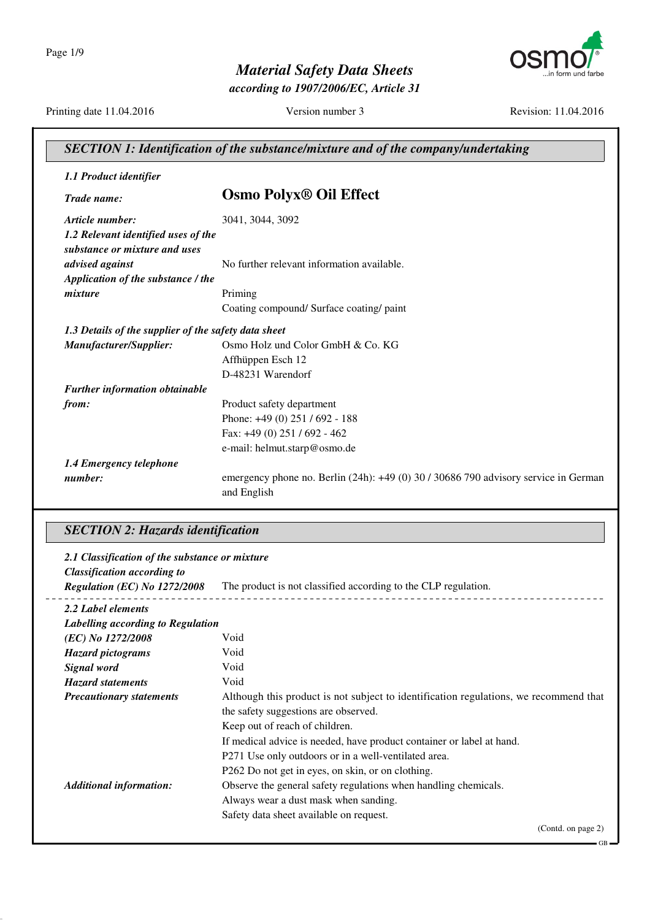

*according to 1907/2006/EC, Article 31*

Printing date 11.04.2016 Version number 3 Revision: 11.04.2016

| SECTION 1: Identification of the substance/mixture and of the company/undertaking |                                                                                                    |
|-----------------------------------------------------------------------------------|----------------------------------------------------------------------------------------------------|
| 1.1 Product identifier                                                            |                                                                                                    |
| Trade name:                                                                       | <b>Osmo Polyx<sup>®</sup> Oil Effect</b>                                                           |
| Article number:                                                                   | 3041, 3044, 3092                                                                                   |
| 1.2 Relevant identified uses of the<br>substance or mixture and uses              |                                                                                                    |
| advised against                                                                   | No further relevant information available.                                                         |
| Application of the substance / the                                                |                                                                                                    |
| mixture                                                                           | Priming                                                                                            |
|                                                                                   | Coating compound/ Surface coating/ paint                                                           |
| 1.3 Details of the supplier of the safety data sheet                              |                                                                                                    |
| Manufacturer/Supplier:                                                            | Osmo Holz und Color GmbH & Co. KG                                                                  |
|                                                                                   | Affhüppen Esch 12                                                                                  |
|                                                                                   | D-48231 Warendorf                                                                                  |
| <b>Further information obtainable</b>                                             |                                                                                                    |
| from:                                                                             | Product safety department                                                                          |
|                                                                                   | Phone: +49 (0) 251 / 692 - 188                                                                     |
|                                                                                   | Fax: $+49(0)$ 251 / 692 - 462                                                                      |
|                                                                                   | e-mail: helmut.starp@osmo.de                                                                       |
| 1.4 Emergency telephone                                                           |                                                                                                    |
| number:                                                                           | emergency phone no. Berlin (24h): +49 (0) 30 / 30686 790 advisory service in German<br>and English |

### *SECTION 2: Hazards identification*

| 2.1 Classification of the substance or mixture |                                                                                       |
|------------------------------------------------|---------------------------------------------------------------------------------------|
| <b>Classification according to</b>             |                                                                                       |
| Regulation (EC) No 1272/2008                   | The product is not classified according to the CLP regulation.                        |
| 2.2 Label elements                             |                                                                                       |
| Labelling according to Regulation              |                                                                                       |
| (EC) No 1272/2008                              | Void                                                                                  |
| <b>Hazard pictograms</b>                       | Void                                                                                  |
| Signal word                                    | Void                                                                                  |
| <b>Hazard statements</b>                       | Void                                                                                  |
| <b>Precautionary statements</b>                | Although this product is not subject to identification regulations, we recommend that |
|                                                | the safety suggestions are observed.                                                  |
|                                                | Keep out of reach of children.                                                        |
|                                                | If medical advice is needed, have product container or label at hand.                 |
|                                                | P271 Use only outdoors or in a well-ventilated area.                                  |
|                                                | P262 Do not get in eyes, on skin, or on clothing.                                     |
| <b>Additional information:</b>                 | Observe the general safety regulations when handling chemicals.                       |
|                                                | Always wear a dust mask when sanding.                                                 |
|                                                | Safety data sheet available on request.                                               |
|                                                | (Contd. on page 2)                                                                    |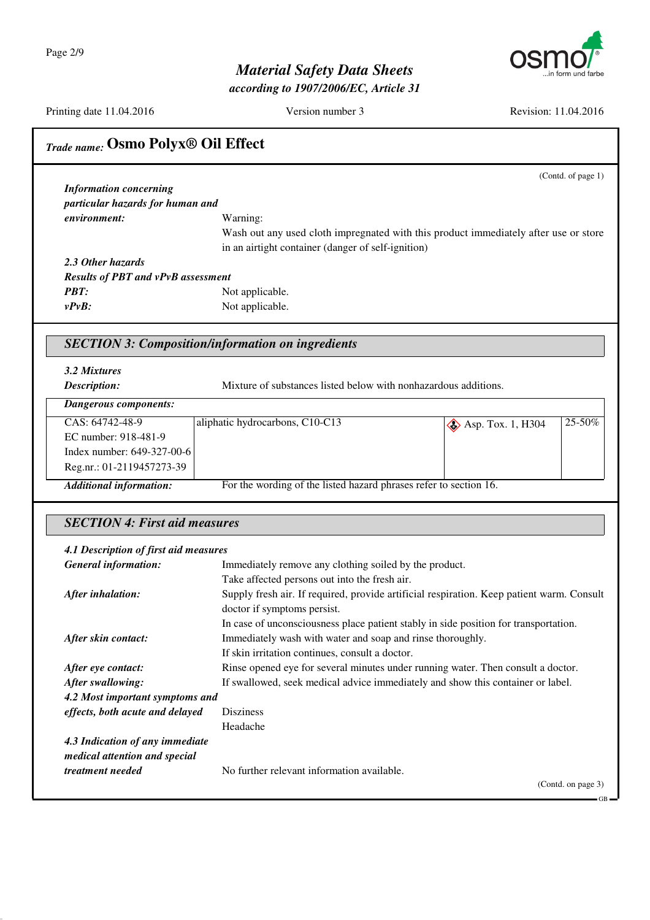Page 2/9



# *Material Safety Data Sheets*

*according to 1907/2006/EC, Article 31*

Printing date 11.04.2016 Version number 3 Revision: 11.04.2016

| <b>Trade name: Osmo Polyx® Oil Effect</b>                |                                                                                           |
|----------------------------------------------------------|-------------------------------------------------------------------------------------------|
|                                                          | (Contd. of page 1)                                                                        |
| <b>Information concerning</b>                            |                                                                                           |
| particular hazards for human and                         |                                                                                           |
| environment:                                             | Warning:                                                                                  |
|                                                          | Wash out any used cloth impregnated with this product immediately after use or store      |
|                                                          | in an airtight container (danger of self-ignition)                                        |
| 2.3 Other hazards                                        |                                                                                           |
| <b>Results of PBT and vPvB assessment</b>                |                                                                                           |
| <b>PBT:</b>                                              | Not applicable.                                                                           |
| $v P v B$ :                                              | Not applicable.                                                                           |
|                                                          |                                                                                           |
| <b>SECTION 3: Composition/information on ingredients</b> |                                                                                           |
| 3.2 Mixtures                                             |                                                                                           |
| Description:                                             | Mixture of substances listed below with nonhazardous additions.                           |
| <b>Dangerous components:</b>                             |                                                                                           |
| CAS: 64742-48-9                                          | aliphatic hydrocarbons, C10-C13<br>25-50%<br>$\diamond$ Asp. Tox. 1, H304                 |
| EC number: 918-481-9                                     |                                                                                           |
| Index number: 649-327-00-6                               |                                                                                           |
| Reg.nr.: 01-2119457273-39                                |                                                                                           |
| <b>Additional information:</b>                           | For the wording of the listed hazard phrases refer to section 16.                         |
|                                                          |                                                                                           |
| <b>SECTION 4: First aid measures</b>                     |                                                                                           |
| 4.1 Description of first aid measures                    |                                                                                           |
| <b>General information:</b>                              | Immediately remove any clothing soiled by the product.                                    |
|                                                          | Take affected persons out into the fresh air.                                             |
| After inhalation:                                        | Supply fresh air. If required, provide artificial respiration. Keep patient warm. Consult |
|                                                          | doctor if symptoms persist.                                                               |
|                                                          | In case of unconsciousness place patient stably in side position for transportation.      |
| After skin contact:                                      | Immediately wash with water and soap and rinse thoroughly.                                |
|                                                          | If skin irritation continues, consult a doctor.                                           |
| After eye contact:                                       | Rinse opened eye for several minutes under running water. Then consult a doctor.          |
| After swallowing:                                        | If swallowed, seek medical advice immediately and show this container or label.           |
| 4.2 Most important symptoms and                          |                                                                                           |
| effects, both acute and delayed                          | <b>Disziness</b>                                                                          |
|                                                          | Headache                                                                                  |
| 4.3 Indication of any immediate                          |                                                                                           |
| medical attention and special                            |                                                                                           |
| treatment needed                                         | No further relevant information available.                                                |
|                                                          | (Contd. on page 3)<br>- GB                                                                |
|                                                          |                                                                                           |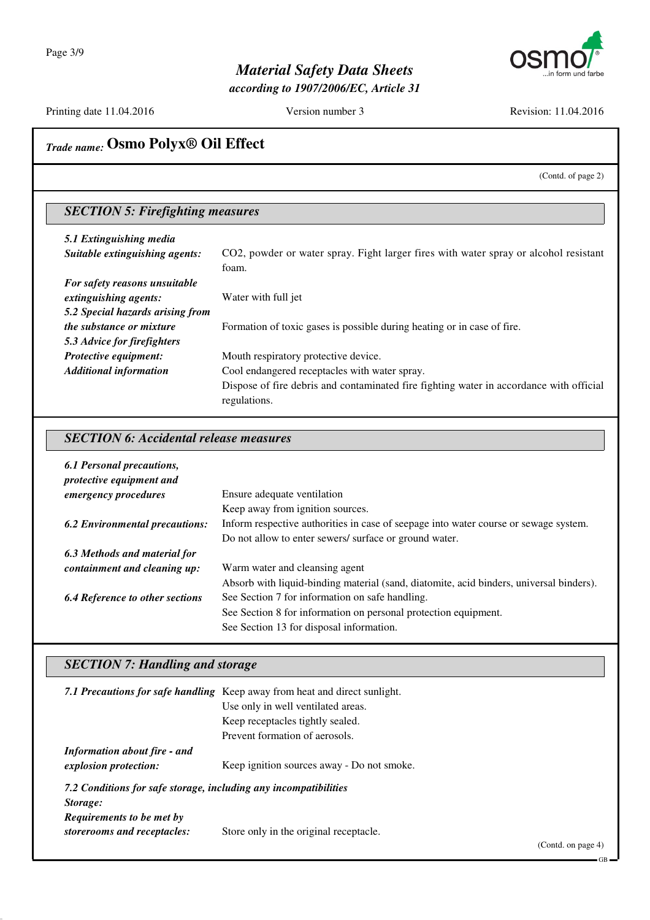

*according to 1907/2006/EC, Article 31*

Printing date 11.04.2016 Version number 3 Revision: 11.04.2016

# *Trade name:* **Osmo Polyx® Oil Effect**

(Contd. of page 2)

## *SECTION 5: Firefighting measures*

| 5.1 Extinguishing media<br>Suitable extinguishing agents: | CO2, powder or water spray. Fight larger fires with water spray or alcohol resistant<br>foam.           |
|-----------------------------------------------------------|---------------------------------------------------------------------------------------------------------|
| For safety reasons unsuitable                             |                                                                                                         |
| extinguishing agents:                                     | Water with full jet                                                                                     |
| 5.2 Special hazards arising from                          |                                                                                                         |
| <i>the substance or mixture</i>                           | Formation of toxic gases is possible during heating or in case of fire.                                 |
| 5.3 Advice for firefighters                               |                                                                                                         |
| Protective equipment:                                     | Mouth respiratory protective device.                                                                    |
| <b>Additional information</b>                             | Cool endangered receptacles with water spray.                                                           |
|                                                           | Dispose of fire debris and contaminated fire fighting water in accordance with official<br>regulations. |

#### *SECTION 6: Accidental release measures*

| <b>6.1 Personal precautions,</b><br>protective equipment and |                                                                                         |
|--------------------------------------------------------------|-----------------------------------------------------------------------------------------|
| <i>emergency procedures</i>                                  | Ensure adequate ventilation                                                             |
|                                                              | Keep away from ignition sources.                                                        |
| <b>6.2 Environmental precautions:</b>                        | Inform respective authorities in case of seepage into water course or sewage system.    |
|                                                              | Do not allow to enter sewers/ surface or ground water.                                  |
| 6.3 Methods and material for                                 |                                                                                         |
| containment and cleaning up:                                 | Warm water and cleansing agent                                                          |
|                                                              | Absorb with liquid-binding material (sand, diatomite, acid binders, universal binders). |
| <b>6.4 Reference to other sections</b>                       | See Section 7 for information on safe handling.                                         |
|                                                              | See Section 8 for information on personal protection equipment.                         |
|                                                              | See Section 13 for disposal information.                                                |

### *SECTION 7: Handling and storage*

|                                                                              | 7.1 Precautions for safe handling Keep away from heat and direct sunlight.<br>Use only in well ventilated areas.<br>Keep receptacles tightly sealed. |  |
|------------------------------------------------------------------------------|------------------------------------------------------------------------------------------------------------------------------------------------------|--|
|                                                                              | Prevent formation of aerosols.                                                                                                                       |  |
| <b>Information about fire - and</b>                                          |                                                                                                                                                      |  |
| <i>explosion protection:</i>                                                 | Keep ignition sources away - Do not smoke.                                                                                                           |  |
| 7.2 Conditions for safe storage, including any incompatibilities<br>Storage: |                                                                                                                                                      |  |
| Requirements to be met by                                                    |                                                                                                                                                      |  |
| storerooms and receptacles:                                                  | Store only in the original receptacle.<br>$(0 \t1 \t1 \t1$                                                                                           |  |

(Contd. on page 4)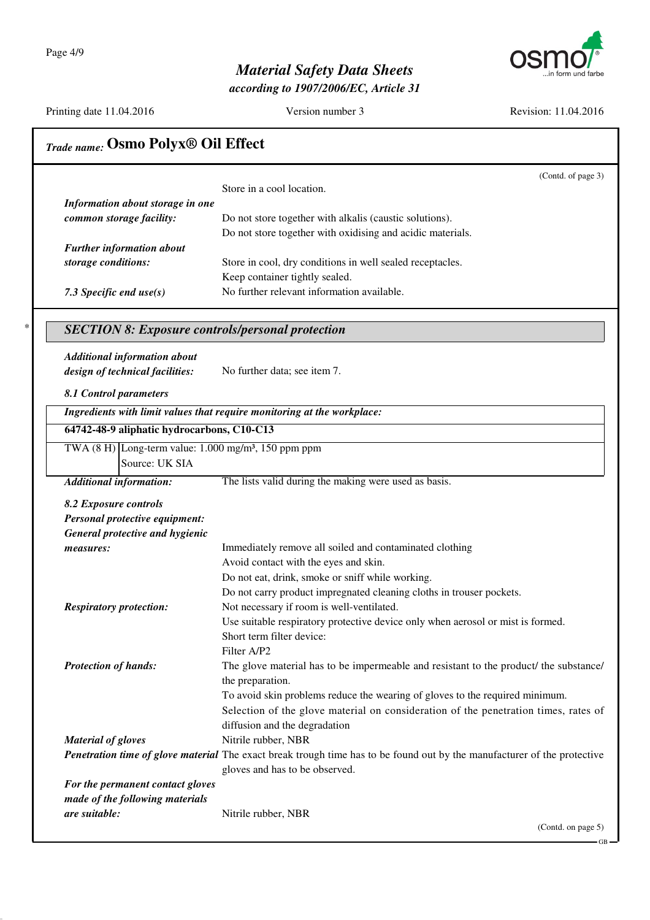

*according to 1907/2006/EC, Article 31*

Printing date 11.04.2016 Version number 3 Revision: 11.04.2016

GB

| Information about storage in one<br>common storage facility:<br>Do not store together with alkalis (caustic solutions).<br>Do not store together with oxidising and acidic materials.<br><b>Further information about</b><br>Store in cool, dry conditions in well sealed receptacles.<br>storage conditions:<br>Keep container tightly sealed.<br>No further relevant information available.<br>7.3 Specific end $use(s)$<br><b>SECTION 8: Exposure controls/personal protection</b><br><b>Additional information about</b><br>design of technical facilities:<br>No further data; see item 7.<br>8.1 Control parameters<br>Ingredients with limit values that require monitoring at the workplace:<br>64742-48-9 aliphatic hydrocarbons, C10-C13<br>TWA $(8 \text{ H})$ Long-term value: 1.000 mg/m <sup>3</sup> , 150 ppm ppm<br>Source: UK SIA<br>The lists valid during the making were used as basis.<br><b>Additional information:</b><br>8.2 Exposure controls<br>Personal protective equipment:<br>General protective and hygienic<br>Immediately remove all soiled and contaminated clothing<br>measures:<br>Avoid contact with the eyes and skin.<br>Do not eat, drink, smoke or sniff while working.<br>Do not carry product impregnated cleaning cloths in trouser pockets.<br>Not necessary if room is well-ventilated.<br><b>Respiratory protection:</b><br>Use suitable respiratory protective device only when aerosol or mist is formed.<br>Short term filter device:<br>Filter A/P2<br><b>Protection of hands:</b><br>the preparation.<br>To avoid skin problems reduce the wearing of gloves to the required minimum.<br>Selection of the glove material on consideration of the penetration times, rates of<br>diffusion and the degradation<br>Nitrile rubber, NBR<br><b>Material of gloves</b><br>Penetration time of glove material The exact break trough time has to be found out by the manufacturer of the protective<br>gloves and has to be observed.<br>For the permanent contact gloves<br>made of the following materials<br>are suitable:<br>Nitrile rubber, NBR | (Contd. of page 3)                                                                    |
|----------------------------------------------------------------------------------------------------------------------------------------------------------------------------------------------------------------------------------------------------------------------------------------------------------------------------------------------------------------------------------------------------------------------------------------------------------------------------------------------------------------------------------------------------------------------------------------------------------------------------------------------------------------------------------------------------------------------------------------------------------------------------------------------------------------------------------------------------------------------------------------------------------------------------------------------------------------------------------------------------------------------------------------------------------------------------------------------------------------------------------------------------------------------------------------------------------------------------------------------------------------------------------------------------------------------------------------------------------------------------------------------------------------------------------------------------------------------------------------------------------------------------------------------------------------------------------------------------------------------------------------------------------------------------------------------------------------------------------------------------------------------------------------------------------------------------------------------------------------------------------------------------------------------------------------------------------------------------------------------------------------------------------------------------------------------------------------------------|---------------------------------------------------------------------------------------|
|                                                                                                                                                                                                                                                                                                                                                                                                                                                                                                                                                                                                                                                                                                                                                                                                                                                                                                                                                                                                                                                                                                                                                                                                                                                                                                                                                                                                                                                                                                                                                                                                                                                                                                                                                                                                                                                                                                                                                                                                                                                                                                    | Store in a cool location.                                                             |
|                                                                                                                                                                                                                                                                                                                                                                                                                                                                                                                                                                                                                                                                                                                                                                                                                                                                                                                                                                                                                                                                                                                                                                                                                                                                                                                                                                                                                                                                                                                                                                                                                                                                                                                                                                                                                                                                                                                                                                                                                                                                                                    |                                                                                       |
|                                                                                                                                                                                                                                                                                                                                                                                                                                                                                                                                                                                                                                                                                                                                                                                                                                                                                                                                                                                                                                                                                                                                                                                                                                                                                                                                                                                                                                                                                                                                                                                                                                                                                                                                                                                                                                                                                                                                                                                                                                                                                                    |                                                                                       |
|                                                                                                                                                                                                                                                                                                                                                                                                                                                                                                                                                                                                                                                                                                                                                                                                                                                                                                                                                                                                                                                                                                                                                                                                                                                                                                                                                                                                                                                                                                                                                                                                                                                                                                                                                                                                                                                                                                                                                                                                                                                                                                    |                                                                                       |
|                                                                                                                                                                                                                                                                                                                                                                                                                                                                                                                                                                                                                                                                                                                                                                                                                                                                                                                                                                                                                                                                                                                                                                                                                                                                                                                                                                                                                                                                                                                                                                                                                                                                                                                                                                                                                                                                                                                                                                                                                                                                                                    |                                                                                       |
|                                                                                                                                                                                                                                                                                                                                                                                                                                                                                                                                                                                                                                                                                                                                                                                                                                                                                                                                                                                                                                                                                                                                                                                                                                                                                                                                                                                                                                                                                                                                                                                                                                                                                                                                                                                                                                                                                                                                                                                                                                                                                                    |                                                                                       |
|                                                                                                                                                                                                                                                                                                                                                                                                                                                                                                                                                                                                                                                                                                                                                                                                                                                                                                                                                                                                                                                                                                                                                                                                                                                                                                                                                                                                                                                                                                                                                                                                                                                                                                                                                                                                                                                                                                                                                                                                                                                                                                    |                                                                                       |
|                                                                                                                                                                                                                                                                                                                                                                                                                                                                                                                                                                                                                                                                                                                                                                                                                                                                                                                                                                                                                                                                                                                                                                                                                                                                                                                                                                                                                                                                                                                                                                                                                                                                                                                                                                                                                                                                                                                                                                                                                                                                                                    |                                                                                       |
|                                                                                                                                                                                                                                                                                                                                                                                                                                                                                                                                                                                                                                                                                                                                                                                                                                                                                                                                                                                                                                                                                                                                                                                                                                                                                                                                                                                                                                                                                                                                                                                                                                                                                                                                                                                                                                                                                                                                                                                                                                                                                                    |                                                                                       |
|                                                                                                                                                                                                                                                                                                                                                                                                                                                                                                                                                                                                                                                                                                                                                                                                                                                                                                                                                                                                                                                                                                                                                                                                                                                                                                                                                                                                                                                                                                                                                                                                                                                                                                                                                                                                                                                                                                                                                                                                                                                                                                    |                                                                                       |
|                                                                                                                                                                                                                                                                                                                                                                                                                                                                                                                                                                                                                                                                                                                                                                                                                                                                                                                                                                                                                                                                                                                                                                                                                                                                                                                                                                                                                                                                                                                                                                                                                                                                                                                                                                                                                                                                                                                                                                                                                                                                                                    |                                                                                       |
|                                                                                                                                                                                                                                                                                                                                                                                                                                                                                                                                                                                                                                                                                                                                                                                                                                                                                                                                                                                                                                                                                                                                                                                                                                                                                                                                                                                                                                                                                                                                                                                                                                                                                                                                                                                                                                                                                                                                                                                                                                                                                                    |                                                                                       |
|                                                                                                                                                                                                                                                                                                                                                                                                                                                                                                                                                                                                                                                                                                                                                                                                                                                                                                                                                                                                                                                                                                                                                                                                                                                                                                                                                                                                                                                                                                                                                                                                                                                                                                                                                                                                                                                                                                                                                                                                                                                                                                    |                                                                                       |
|                                                                                                                                                                                                                                                                                                                                                                                                                                                                                                                                                                                                                                                                                                                                                                                                                                                                                                                                                                                                                                                                                                                                                                                                                                                                                                                                                                                                                                                                                                                                                                                                                                                                                                                                                                                                                                                                                                                                                                                                                                                                                                    |                                                                                       |
|                                                                                                                                                                                                                                                                                                                                                                                                                                                                                                                                                                                                                                                                                                                                                                                                                                                                                                                                                                                                                                                                                                                                                                                                                                                                                                                                                                                                                                                                                                                                                                                                                                                                                                                                                                                                                                                                                                                                                                                                                                                                                                    |                                                                                       |
|                                                                                                                                                                                                                                                                                                                                                                                                                                                                                                                                                                                                                                                                                                                                                                                                                                                                                                                                                                                                                                                                                                                                                                                                                                                                                                                                                                                                                                                                                                                                                                                                                                                                                                                                                                                                                                                                                                                                                                                                                                                                                                    |                                                                                       |
|                                                                                                                                                                                                                                                                                                                                                                                                                                                                                                                                                                                                                                                                                                                                                                                                                                                                                                                                                                                                                                                                                                                                                                                                                                                                                                                                                                                                                                                                                                                                                                                                                                                                                                                                                                                                                                                                                                                                                                                                                                                                                                    |                                                                                       |
|                                                                                                                                                                                                                                                                                                                                                                                                                                                                                                                                                                                                                                                                                                                                                                                                                                                                                                                                                                                                                                                                                                                                                                                                                                                                                                                                                                                                                                                                                                                                                                                                                                                                                                                                                                                                                                                                                                                                                                                                                                                                                                    |                                                                                       |
|                                                                                                                                                                                                                                                                                                                                                                                                                                                                                                                                                                                                                                                                                                                                                                                                                                                                                                                                                                                                                                                                                                                                                                                                                                                                                                                                                                                                                                                                                                                                                                                                                                                                                                                                                                                                                                                                                                                                                                                                                                                                                                    |                                                                                       |
|                                                                                                                                                                                                                                                                                                                                                                                                                                                                                                                                                                                                                                                                                                                                                                                                                                                                                                                                                                                                                                                                                                                                                                                                                                                                                                                                                                                                                                                                                                                                                                                                                                                                                                                                                                                                                                                                                                                                                                                                                                                                                                    |                                                                                       |
|                                                                                                                                                                                                                                                                                                                                                                                                                                                                                                                                                                                                                                                                                                                                                                                                                                                                                                                                                                                                                                                                                                                                                                                                                                                                                                                                                                                                                                                                                                                                                                                                                                                                                                                                                                                                                                                                                                                                                                                                                                                                                                    |                                                                                       |
|                                                                                                                                                                                                                                                                                                                                                                                                                                                                                                                                                                                                                                                                                                                                                                                                                                                                                                                                                                                                                                                                                                                                                                                                                                                                                                                                                                                                                                                                                                                                                                                                                                                                                                                                                                                                                                                                                                                                                                                                                                                                                                    |                                                                                       |
|                                                                                                                                                                                                                                                                                                                                                                                                                                                                                                                                                                                                                                                                                                                                                                                                                                                                                                                                                                                                                                                                                                                                                                                                                                                                                                                                                                                                                                                                                                                                                                                                                                                                                                                                                                                                                                                                                                                                                                                                                                                                                                    |                                                                                       |
|                                                                                                                                                                                                                                                                                                                                                                                                                                                                                                                                                                                                                                                                                                                                                                                                                                                                                                                                                                                                                                                                                                                                                                                                                                                                                                                                                                                                                                                                                                                                                                                                                                                                                                                                                                                                                                                                                                                                                                                                                                                                                                    |                                                                                       |
|                                                                                                                                                                                                                                                                                                                                                                                                                                                                                                                                                                                                                                                                                                                                                                                                                                                                                                                                                                                                                                                                                                                                                                                                                                                                                                                                                                                                                                                                                                                                                                                                                                                                                                                                                                                                                                                                                                                                                                                                                                                                                                    |                                                                                       |
|                                                                                                                                                                                                                                                                                                                                                                                                                                                                                                                                                                                                                                                                                                                                                                                                                                                                                                                                                                                                                                                                                                                                                                                                                                                                                                                                                                                                                                                                                                                                                                                                                                                                                                                                                                                                                                                                                                                                                                                                                                                                                                    |                                                                                       |
|                                                                                                                                                                                                                                                                                                                                                                                                                                                                                                                                                                                                                                                                                                                                                                                                                                                                                                                                                                                                                                                                                                                                                                                                                                                                                                                                                                                                                                                                                                                                                                                                                                                                                                                                                                                                                                                                                                                                                                                                                                                                                                    |                                                                                       |
|                                                                                                                                                                                                                                                                                                                                                                                                                                                                                                                                                                                                                                                                                                                                                                                                                                                                                                                                                                                                                                                                                                                                                                                                                                                                                                                                                                                                                                                                                                                                                                                                                                                                                                                                                                                                                                                                                                                                                                                                                                                                                                    |                                                                                       |
|                                                                                                                                                                                                                                                                                                                                                                                                                                                                                                                                                                                                                                                                                                                                                                                                                                                                                                                                                                                                                                                                                                                                                                                                                                                                                                                                                                                                                                                                                                                                                                                                                                                                                                                                                                                                                                                                                                                                                                                                                                                                                                    | The glove material has to be impermeable and resistant to the product/ the substance/ |
|                                                                                                                                                                                                                                                                                                                                                                                                                                                                                                                                                                                                                                                                                                                                                                                                                                                                                                                                                                                                                                                                                                                                                                                                                                                                                                                                                                                                                                                                                                                                                                                                                                                                                                                                                                                                                                                                                                                                                                                                                                                                                                    |                                                                                       |
|                                                                                                                                                                                                                                                                                                                                                                                                                                                                                                                                                                                                                                                                                                                                                                                                                                                                                                                                                                                                                                                                                                                                                                                                                                                                                                                                                                                                                                                                                                                                                                                                                                                                                                                                                                                                                                                                                                                                                                                                                                                                                                    |                                                                                       |
|                                                                                                                                                                                                                                                                                                                                                                                                                                                                                                                                                                                                                                                                                                                                                                                                                                                                                                                                                                                                                                                                                                                                                                                                                                                                                                                                                                                                                                                                                                                                                                                                                                                                                                                                                                                                                                                                                                                                                                                                                                                                                                    |                                                                                       |
|                                                                                                                                                                                                                                                                                                                                                                                                                                                                                                                                                                                                                                                                                                                                                                                                                                                                                                                                                                                                                                                                                                                                                                                                                                                                                                                                                                                                                                                                                                                                                                                                                                                                                                                                                                                                                                                                                                                                                                                                                                                                                                    |                                                                                       |
|                                                                                                                                                                                                                                                                                                                                                                                                                                                                                                                                                                                                                                                                                                                                                                                                                                                                                                                                                                                                                                                                                                                                                                                                                                                                                                                                                                                                                                                                                                                                                                                                                                                                                                                                                                                                                                                                                                                                                                                                                                                                                                    |                                                                                       |
|                                                                                                                                                                                                                                                                                                                                                                                                                                                                                                                                                                                                                                                                                                                                                                                                                                                                                                                                                                                                                                                                                                                                                                                                                                                                                                                                                                                                                                                                                                                                                                                                                                                                                                                                                                                                                                                                                                                                                                                                                                                                                                    |                                                                                       |
|                                                                                                                                                                                                                                                                                                                                                                                                                                                                                                                                                                                                                                                                                                                                                                                                                                                                                                                                                                                                                                                                                                                                                                                                                                                                                                                                                                                                                                                                                                                                                                                                                                                                                                                                                                                                                                                                                                                                                                                                                                                                                                    |                                                                                       |
|                                                                                                                                                                                                                                                                                                                                                                                                                                                                                                                                                                                                                                                                                                                                                                                                                                                                                                                                                                                                                                                                                                                                                                                                                                                                                                                                                                                                                                                                                                                                                                                                                                                                                                                                                                                                                                                                                                                                                                                                                                                                                                    |                                                                                       |
|                                                                                                                                                                                                                                                                                                                                                                                                                                                                                                                                                                                                                                                                                                                                                                                                                                                                                                                                                                                                                                                                                                                                                                                                                                                                                                                                                                                                                                                                                                                                                                                                                                                                                                                                                                                                                                                                                                                                                                                                                                                                                                    |                                                                                       |
|                                                                                                                                                                                                                                                                                                                                                                                                                                                                                                                                                                                                                                                                                                                                                                                                                                                                                                                                                                                                                                                                                                                                                                                                                                                                                                                                                                                                                                                                                                                                                                                                                                                                                                                                                                                                                                                                                                                                                                                                                                                                                                    |                                                                                       |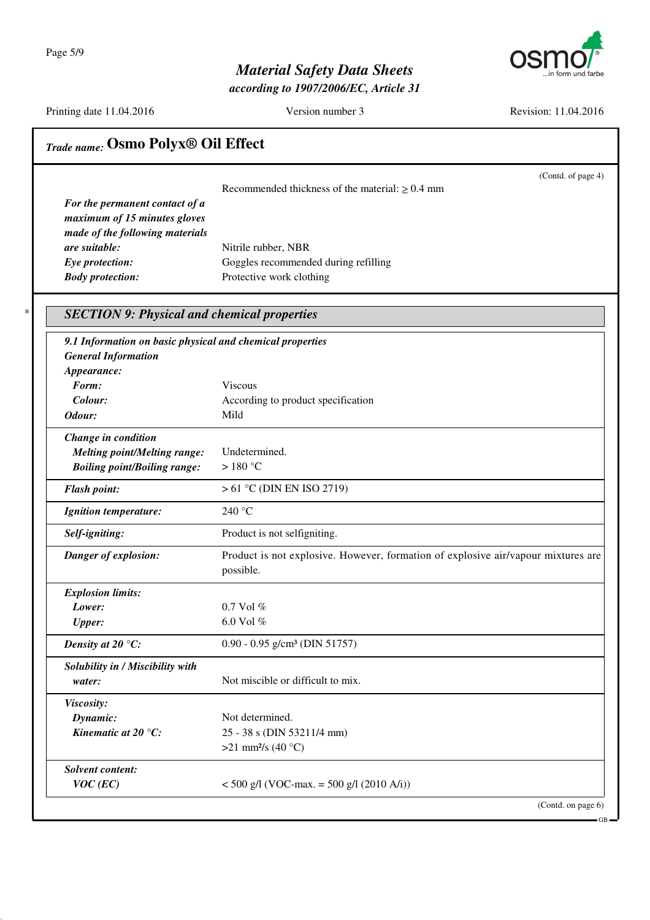Page 5/9



# *Material Safety Data Sheets*

*according to 1907/2006/EC, Article 31*

Printing date 11.04.2016 Version number 3 Revision: 11.04.2016

GB

|                                                           | (Contd. of page 4)<br>Recommended thickness of the material: $\geq 0.4$ mm                     |
|-----------------------------------------------------------|------------------------------------------------------------------------------------------------|
| For the permanent contact of a                            |                                                                                                |
| maximum of 15 minutes gloves                              |                                                                                                |
| made of the following materials                           |                                                                                                |
| are suitable:                                             | Nitrile rubber, NBR                                                                            |
| Eye protection:<br><b>Body protection:</b>                | Goggles recommended during refilling<br>Protective work clothing                               |
| <b>SECTION 9: Physical and chemical properties</b>        |                                                                                                |
| 9.1 Information on basic physical and chemical properties |                                                                                                |
| <b>General Information</b>                                |                                                                                                |
| Appearance:                                               |                                                                                                |
| Form:                                                     | <b>Viscous</b>                                                                                 |
| Colour:                                                   | According to product specification                                                             |
| Odour:                                                    | Mild                                                                                           |
| Change in condition                                       |                                                                                                |
| <b>Melting point/Melting range:</b>                       | Undetermined.                                                                                  |
| <b>Boiling point/Boiling range:</b>                       | >180 °C                                                                                        |
| <b>Flash point:</b>                                       | $> 61$ °C (DIN EN ISO 2719)                                                                    |
| <b>Ignition temperature:</b>                              | 240 °C                                                                                         |
| Self-igniting:                                            | Product is not selfigniting.                                                                   |
| Danger of explosion:                                      | Product is not explosive. However, formation of explosive air/vapour mixtures are<br>possible. |
| <b>Explosion limits:</b>                                  |                                                                                                |
| Lower:                                                    | $0.7$ Vol $%$                                                                                  |
| <b>Upper:</b>                                             | 6.0 Vol %                                                                                      |
| Density at 20 $\mathrm{C}$ :                              | $0.90 - 0.95$ g/cm <sup>3</sup> (DIN 51757)                                                    |
| Solubility in / Miscibility with                          |                                                                                                |
| water:                                                    | Not miscible or difficult to mix.                                                              |
| Viscosity:                                                |                                                                                                |
| Dynamic:                                                  | Not determined.                                                                                |
| Kinematic at $20^{\circ}$ C:                              | 25 - 38 s (DIN 53211/4 mm)                                                                     |
|                                                           | >21 mm <sup>2</sup> /s (40 °C)                                                                 |
| Solvent content:                                          |                                                                                                |
| $VOC$ (EC)                                                | $<$ 500 g/l (VOC-max. = 500 g/l (2010 A/i))                                                    |
|                                                           | (Contd. on page 6)                                                                             |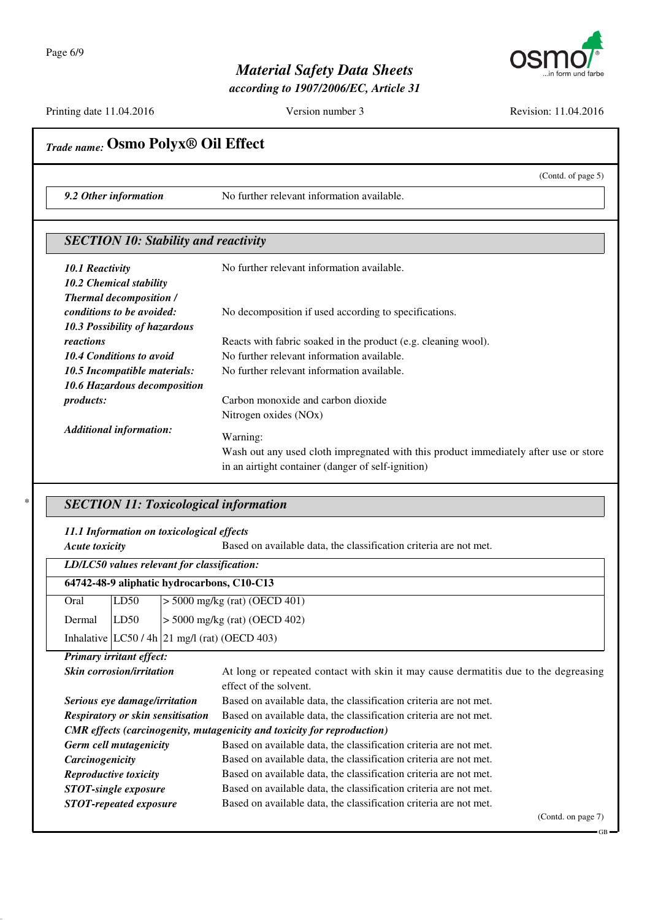

*according to 1907/2006/EC, Article 31*

Printing date 11.04.2016 Version number 3 Revision: 11.04.2016

|                                                              | (Contd. of page 5)                                                                                                                     |
|--------------------------------------------------------------|----------------------------------------------------------------------------------------------------------------------------------------|
| 9.2 Other information                                        | No further relevant information available.                                                                                             |
| <b>SECTION 10: Stability and reactivity</b>                  |                                                                                                                                        |
| 10.1 Reactivity<br>10.2 Chemical stability                   | No further relevant information available.                                                                                             |
| <b>Thermal decomposition /</b><br>conditions to be avoided:  | No decomposition if used according to specifications.                                                                                  |
| 10.3 Possibility of hazardous<br>reactions                   | Reacts with fabric soaked in the product (e.g. cleaning wool).                                                                         |
| <b>10.4 Conditions to avoid</b>                              | No further relevant information available.                                                                                             |
| 10.5 Incompatible materials:<br>10.6 Hazardous decomposition | No further relevant information available.                                                                                             |
| products:                                                    | Carbon monoxide and carbon dioxide<br>Nitrogen oxides (NOx)                                                                            |
| <b>Additional information:</b>                               | Warning:                                                                                                                               |
|                                                              | Wash out any used cloth impregnated with this product immediately after use or store                                                   |
|                                                              | in an airtight container (danger of self-ignition)                                                                                     |
|                                                              |                                                                                                                                        |
|                                                              | <b>SECTION 11: Toxicological information</b>                                                                                           |
| 11.1 Information on toxicological effects                    |                                                                                                                                        |
| <b>Acute toxicity</b>                                        | Based on available data, the classification criteria are not met.                                                                      |
| LD/LC50 values relevant for classification:                  |                                                                                                                                        |
| 64742-48-9 aliphatic hydrocarbons, C10-C13                   |                                                                                                                                        |
| LD50<br>Oral                                                 | $> 5000$ mg/kg (rat) (OECD 401)                                                                                                        |
| LD50<br>Dermal                                               | $> 5000$ mg/kg (rat) (OECD 402)                                                                                                        |
| Inhalative $ LC50/4h 21$ mg/l (rat) (OECD 403)               |                                                                                                                                        |
| Primary irritant effect:                                     |                                                                                                                                        |
| Skin corrosion/irritation                                    | At long or repeated contact with skin it may cause dermatitis due to the degreasing<br>effect of the solvent.                          |
| Serious eye damage/irritation                                | Based on available data, the classification criteria are not met.                                                                      |
| Respiratory or skin sensitisation                            | Based on available data, the classification criteria are not met.                                                                      |
|                                                              | <b>CMR</b> effects (carcinogenity, mutagenicity and toxicity for reproduction)                                                         |
| Germ cell mutagenicity                                       | Based on available data, the classification criteria are not met.                                                                      |
|                                                              |                                                                                                                                        |
| Carcinogenicity                                              | Based on available data, the classification criteria are not met.                                                                      |
| Reproductive toxicity<br><b>STOT-single exposure</b>         | Based on available data, the classification criteria are not met.<br>Based on available data, the classification criteria are not met. |

*STOT-repeated exposure* Based on available data, the classification criteria are not met.

(Contd. on page 7)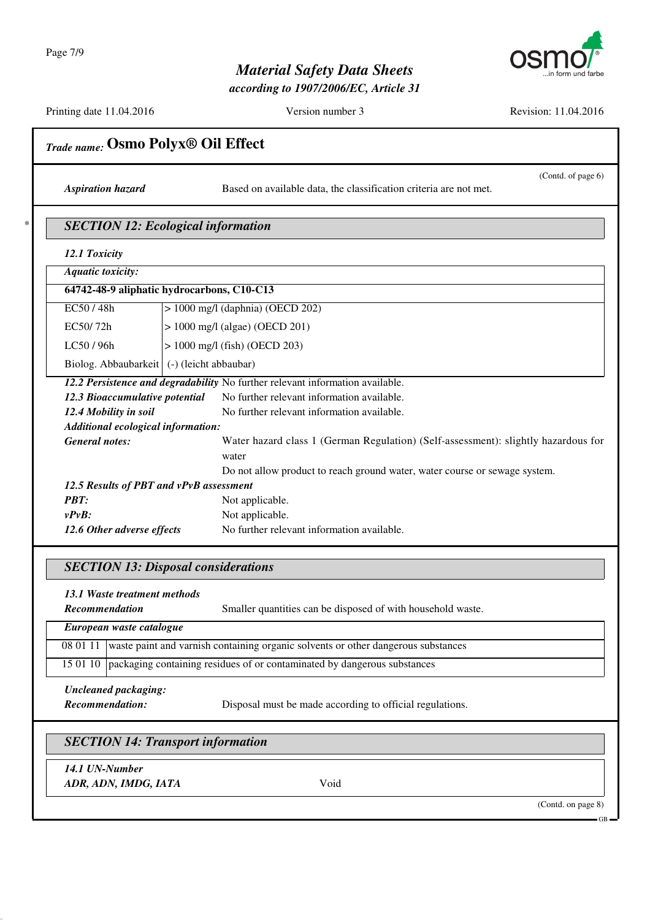

*according to 1907/2006/EC, Article 31*

Printing date 11.04.2016 Version number 3 Revision: 11.04.2016

|                                              | (Contd. of page 6)                                                                 |
|----------------------------------------------|------------------------------------------------------------------------------------|
| <b>Aspiration hazard</b>                     | Based on available data, the classification criteria are not met.                  |
|                                              | <b>SECTION 12: Ecological information</b>                                          |
| 12.1 Toxicity                                |                                                                                    |
| <b>Aquatic toxicity:</b>                     |                                                                                    |
|                                              | 64742-48-9 aliphatic hydrocarbons, C10-C13                                         |
| EC50/48h                                     | $> 1000$ mg/l (daphnia) (OECD 202)                                                 |
| EC50/72h                                     | $> 1000$ mg/l (algae) (OECD 201)                                                   |
| LC50 / 96h                                   | $> 1000$ mg/l (fish) (OECD 203)                                                    |
| Biolog. Abbaubarkeit   (-) (leicht abbaubar) |                                                                                    |
|                                              | 12.2 Persistence and degradability No further relevant information available.      |
| 12.3 Bioaccumulative potential               | No further relevant information available.                                         |
| 12.4 Mobility in soil                        | No further relevant information available.                                         |
| Additional ecological information:           |                                                                                    |
| <b>General notes:</b>                        | Water hazard class 1 (German Regulation) (Self-assessment): slightly hazardous for |
|                                              | water                                                                              |
|                                              | Do not allow product to reach ground water, water course or sewage system.         |
| 12.5 Results of PBT and vPvB assessment      |                                                                                    |
|                                              |                                                                                    |
| <b>PBT:</b>                                  | Not applicable.                                                                    |
| $vPvB$ :                                     | Not applicable.                                                                    |
| 12.6 Other adverse effects                   | No further relevant information available.                                         |
|                                              | <b>SECTION 13: Disposal considerations</b>                                         |
| 13.1 Waste treatment methods                 |                                                                                    |
| <b>Recommendation</b>                        | Smaller quantities can be disposed of with household waste.                        |
| European waste catalogue                     |                                                                                    |
| 08 01 11                                     | waste paint and varnish containing organic solvents or other dangerous substances  |
| 15 01 10                                     | packaging containing residues of or contaminated by dangerous substances           |
|                                              |                                                                                    |
| <b>Uncleaned packaging:</b>                  |                                                                                    |
| Recommendation:                              | Disposal must be made according to official regulations.                           |
|                                              | <b>SECTION 14: Transport information</b>                                           |
| 14.1 UN-Number                               |                                                                                    |

GB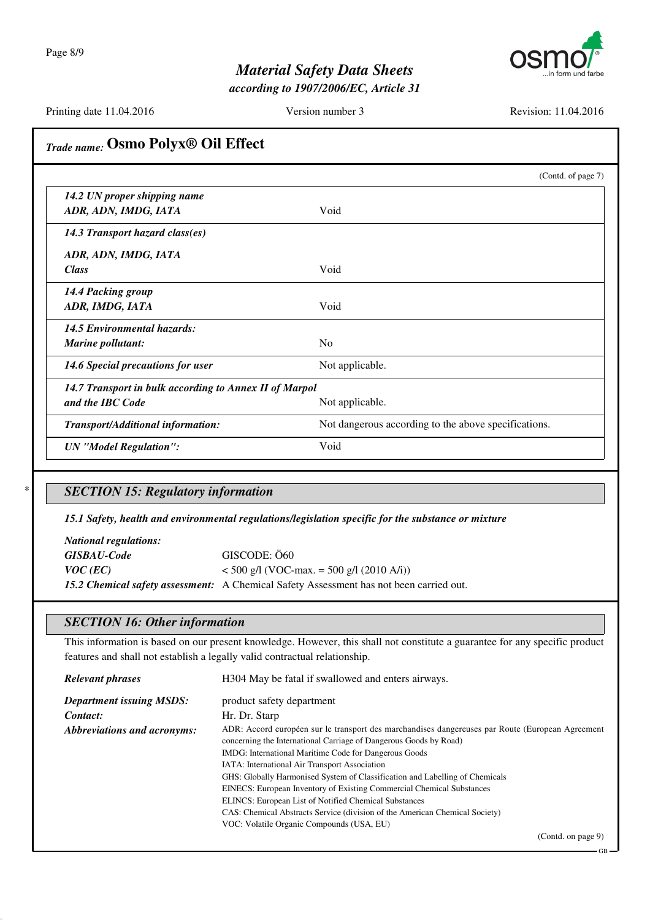Page 8/9



## *Material Safety Data Sheets*

*according to 1907/2006/EC, Article 31*

Printing date 11.04.2016 Version number 3 Revision: 11.04.2016

| Trade name: Osmo Polyx <sup>®</sup> Oil Effect         |                                                      |
|--------------------------------------------------------|------------------------------------------------------|
|                                                        | (Contd. of page 7)                                   |
| 14.2 UN proper shipping name                           |                                                      |
| ADR, ADN, IMDG, IATA                                   | Void                                                 |
| 14.3 Transport hazard class(es)                        |                                                      |
| ADR, ADN, IMDG, IATA                                   |                                                      |
| <b>Class</b>                                           | Void                                                 |
| 14.4 Packing group                                     |                                                      |
| ADR, IMDG, IATA                                        | Void                                                 |
| <b>14.5 Environmental hazards:</b>                     |                                                      |
| Marine pollutant:                                      | N <sub>o</sub>                                       |
| 14.6 Special precautions for user                      | Not applicable.                                      |
| 14.7 Transport in bulk according to Annex II of Marpol |                                                      |
| and the IBC Code                                       | Not applicable.                                      |
| Transport/Additional information:                      | Not dangerous according to the above specifications. |
| <b>UN</b> "Model Regulation":                          | Void                                                 |

### \* *SECTION 15: Regulatory information*

*15.1 Safety, health and environmental regulations/legislation specific for the substance or mixture*

| <i>National regulations:</i> |                                                                                         |
|------------------------------|-----------------------------------------------------------------------------------------|
| <b>GISBAU-Code</b>           | GISCODE: Ö60                                                                            |
| $VOC$ (EC)                   | $<$ 500 g/l (VOC-max. = 500 g/l (2010 A/i))                                             |
|                              | 15.2 Chemical safety assessment: A Chemical Safety Assessment has not been carried out. |

#### *SECTION 16: Other information*

This information is based on our present knowledge. However, this shall not constitute a guarantee for any specific product features and shall not establish a legally valid contractual relationship.

| <b>Relevant phrases</b>         | H304 May be fatal if swallowed and enters airways.                                                                                                                                                                                                                                                                                                                                                                                                                                                                                                                                                                             |
|---------------------------------|--------------------------------------------------------------------------------------------------------------------------------------------------------------------------------------------------------------------------------------------------------------------------------------------------------------------------------------------------------------------------------------------------------------------------------------------------------------------------------------------------------------------------------------------------------------------------------------------------------------------------------|
| <b>Department issuing MSDS:</b> | product safety department                                                                                                                                                                                                                                                                                                                                                                                                                                                                                                                                                                                                      |
| Contact:                        | Hr. Dr. Starp                                                                                                                                                                                                                                                                                                                                                                                                                                                                                                                                                                                                                  |
| Abbreviations and acronyms:     | ADR: Accord européen sur le transport des marchandises dangereuses par Route (European Agreement)<br>concerning the International Carriage of Dangerous Goods by Road)<br>IMDG: International Maritime Code for Dangerous Goods<br>IATA: International Air Transport Association<br>GHS: Globally Harmonised System of Classification and Labelling of Chemicals<br>EINECS: European Inventory of Existing Commercial Chemical Substances<br>ELINCS: European List of Notified Chemical Substances<br>CAS: Chemical Abstracts Service (division of the American Chemical Society)<br>VOC: Volatile Organic Compounds (USA, EU) |
|                                 | (Contd. on page 9)                                                                                                                                                                                                                                                                                                                                                                                                                                                                                                                                                                                                             |